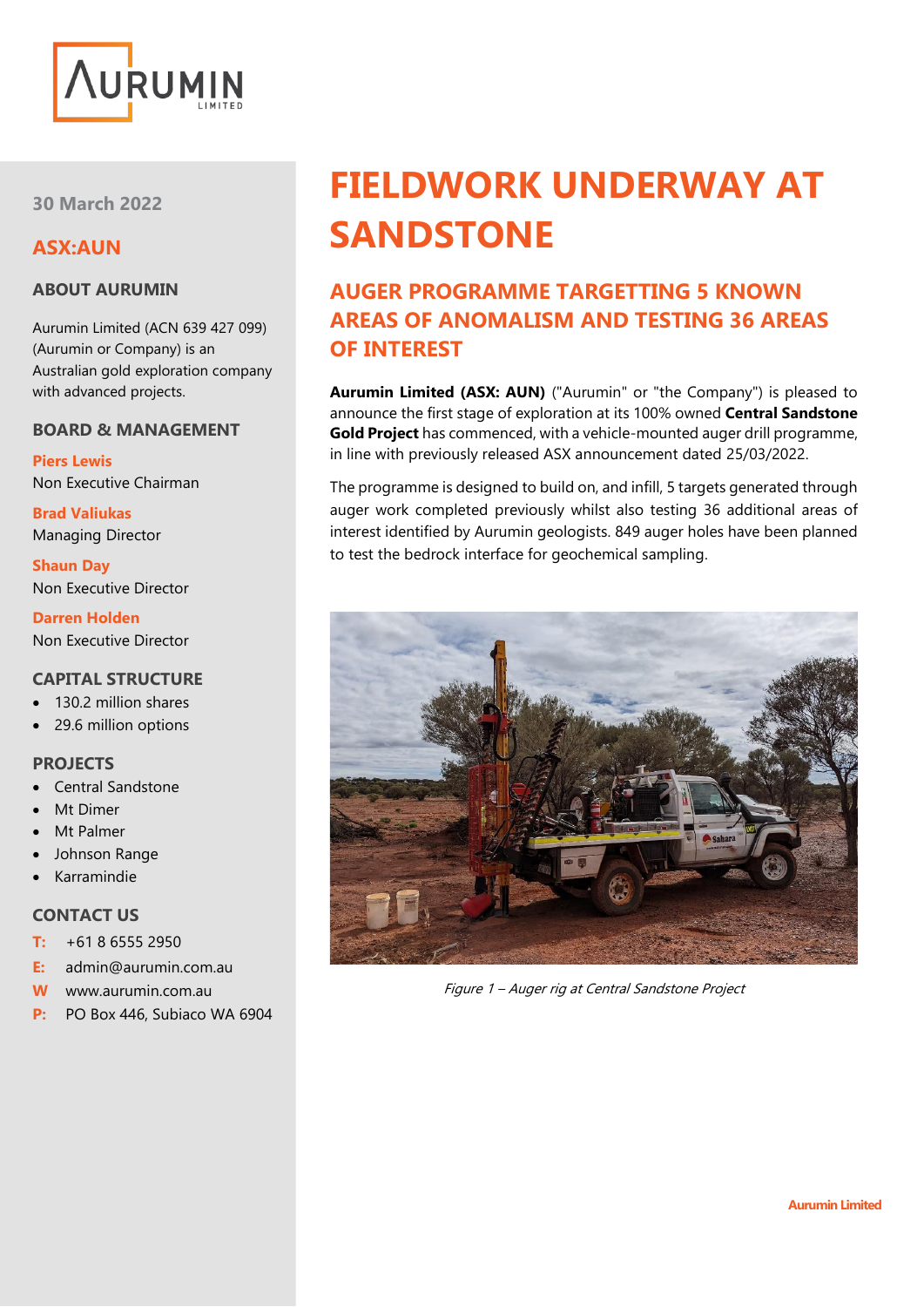

**30 March 2022**

# **ASX:AUN**

### **ABOUT AURUMIN**

Aurumin Limited (ACN 639 427 099) (Aurumin or Company) is an Australian gold exploration company with advanced projects.

#### **BOARD & MANAGEMENT**

**Piers Lewis** Non Executive Chairman

**Brad Valiukas** Managing Director

**Shaun Day** Non Executive Director

**Darren Holden** Non Executive Director

## **CAPITAL STRUCTURE**

- 130.2 million shares
- 29.6 million options

#### **PROJECTS**

- Central Sandstone
- **Mt Dimer**
- Mt Palmer
- Johnson Range
- Karramindie

# **CONTACT US**

- **T:** +61 8 6555 2950
- **E:** admin@aurumin.com.au
- **W** www.aurumin.com.au
- **P:** PO Box 446, Subiaco WA 6904

# **FIELDWORK UNDERWAY AT SANDSTONE**

# **AUGER PROGRAMME TARGETTING 5 KNOWN AREAS OF ANOMALISM AND TESTING 36 AREAS OF INTEREST**

**Aurumin Limited (ASX: AUN)** ("Aurumin" or "the Company") is pleased to announce the first stage of exploration at its 100% owned **Central Sandstone Gold Project** has commenced, with a vehicle-mounted auger drill programme, in line with previously released ASX announcement dated 25/03/2022.

The programme is designed to build on, and infill, 5 targets generated through auger work completed previously whilst also testing 36 additional areas of interest identified by Aurumin geologists. 849 auger holes have been planned to test the bedrock interface for geochemical sampling.



Figure 1 – Auger rig at Central Sandstone Project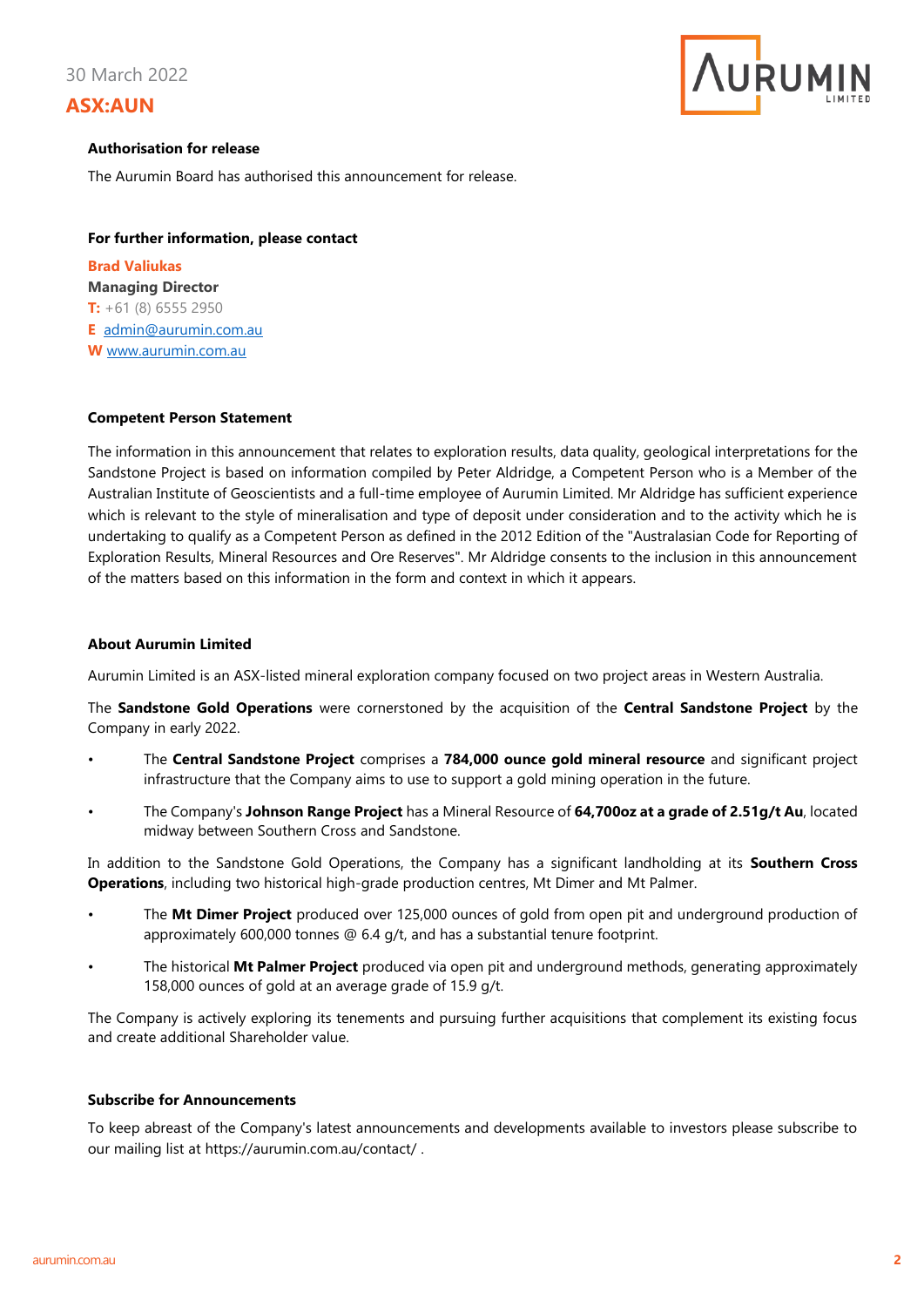30 March 2022

## **ASX:AUN**



#### **Authorisation for release**

The Aurumin Board has authorised this announcement for release.

#### **For further information, please contact**

**Brad Valiukas Managing Director T:** +61 (8) 6555 2950 **E** [admin@aurumin.com.au](mailto:admin@aurumin.com.au) **W** [www.aurumin.com.au](http://www.aurumin.com.au/)

#### **Competent Person Statement**

The information in this announcement that relates to exploration results, data quality, geological interpretations for the Sandstone Project is based on information compiled by Peter Aldridge, a Competent Person who is a Member of the Australian Institute of Geoscientists and a full-time employee of Aurumin Limited. Mr Aldridge has sufficient experience which is relevant to the style of mineralisation and type of deposit under consideration and to the activity which he is undertaking to qualify as a Competent Person as defined in the 2012 Edition of the "Australasian Code for Reporting of Exploration Results, Mineral Resources and Ore Reserves". Mr Aldridge consents to the inclusion in this announcement of the matters based on this information in the form and context in which it appears.

#### **About Aurumin Limited**

Aurumin Limited is an ASX-listed mineral exploration company focused on two project areas in Western Australia.

The **Sandstone Gold Operations** were cornerstoned by the acquisition of the **Central Sandstone Project** by the Company in early 2022.

- The **Central Sandstone Project** comprises a **784,000 ounce gold mineral resource** and significant project infrastructure that the Company aims to use to support a gold mining operation in the future.
- The Company's **Johnson Range Project** has a Mineral Resource of **64,700oz at a grade of 2.51g/t Au**, located midway between Southern Cross and Sandstone.

In addition to the Sandstone Gold Operations, the Company has a significant landholding at its **Southern Cross Operations**, including two historical high-grade production centres, Mt Dimer and Mt Palmer.

- The **Mt Dimer Project** produced over 125,000 ounces of gold from open pit and underground production of approximately 600,000 tonnes @ 6.4 g/t, and has a substantial tenure footprint.
- The historical **Mt Palmer Project** produced via open pit and underground methods, generating approximately 158,000 ounces of gold at an average grade of 15.9 g/t.

The Company is actively exploring its tenements and pursuing further acquisitions that complement its existing focus and create additional Shareholder value.

#### **Subscribe for Announcements**

To keep abreast of the Company's latest announcements and developments available to investors please subscribe to our mailing list at<https://aurumin.com.au/contact/> .